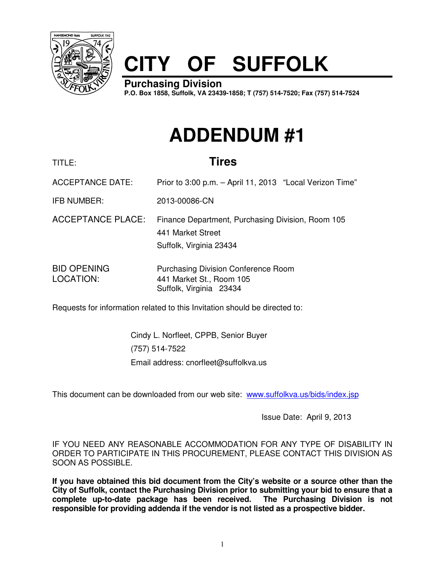

# **CITY OF SUFFOLK**

**Purchasing Division P.O. Box 1858, Suffolk, VA 23439-1858; T (757) 514-7520; Fax (757) 514-7524**

## **ADDENDUM #1**

### TITLE: **Tires**

ACCEPTANCE DATE: Prior to 3:00 p.m. – April 11, 2013 "Local Verizon Time"

IFB NUMBER: 2013-00086-CN

ACCEPTANCE PLACE: Finance Department, Purchasing Division, Room 105 441 Market Street Suffolk, Virginia 23434

BID OPENING Purchasing Division Conference Room LOCATION: 441 Market St., Room 105 Suffolk, Virginia 23434

Requests for information related to this Invitation should be directed to:

Cindy L. Norfleet, CPPB, Senior Buyer (757) 514-7522 Email address: cnorfleet@suffolkva.us

This document can be downloaded from our web site: www.suffolkva.us/bids/index.jsp

Issue Date: April 9, 2013

IF YOU NEED ANY REASONABLE ACCOMMODATION FOR ANY TYPE OF DISABILITY IN ORDER TO PARTICIPATE IN THIS PROCUREMENT, PLEASE CONTACT THIS DIVISION AS SOON AS POSSIBLE.

**If you have obtained this bid document from the City's website or a source other than the City of Suffolk, contact the Purchasing Division prior to submitting your bid to ensure that a complete up-to-date package has been received. The Purchasing Division is not responsible for providing addenda if the vendor is not listed as a prospective bidder.**